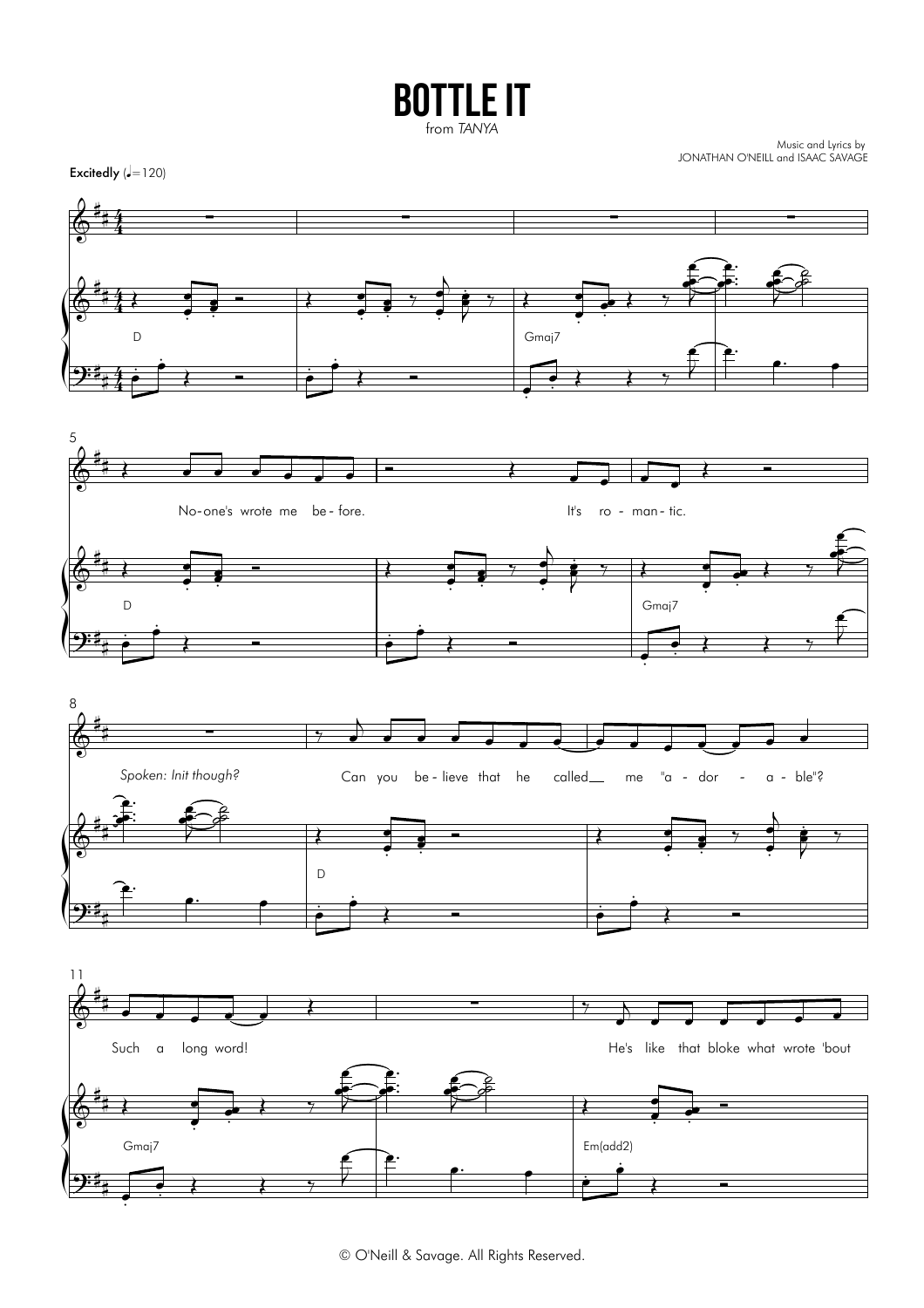## **BOTTLE IT** from TANYA

Music and Lyrics by<br>JONATHAN O'NEILL and ISAAC SAVAGE



© O'Neill & Savage. All Rights Reserved.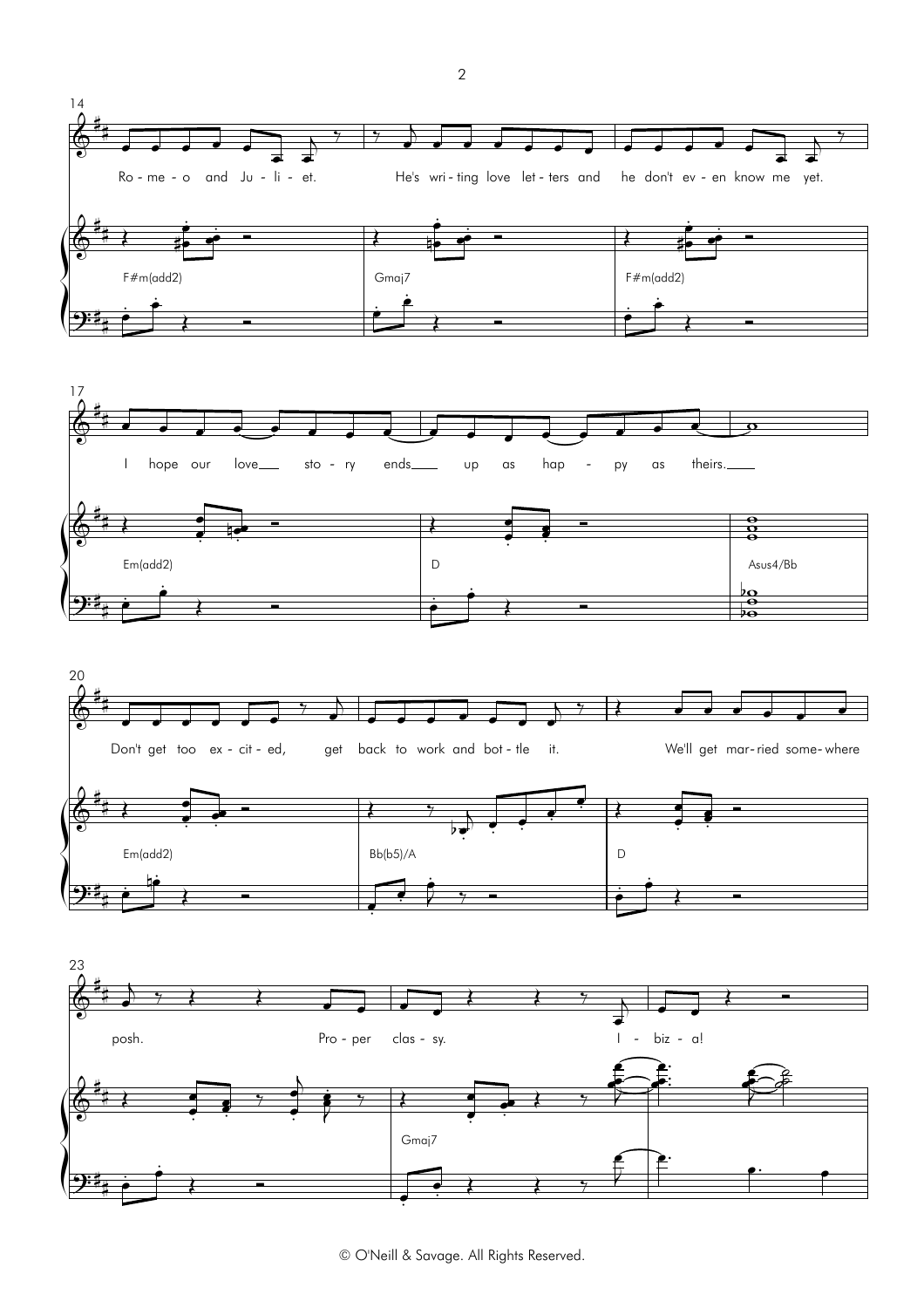







© O'Neill & Savage. All Rights Reserved.

 $\sqrt{2}$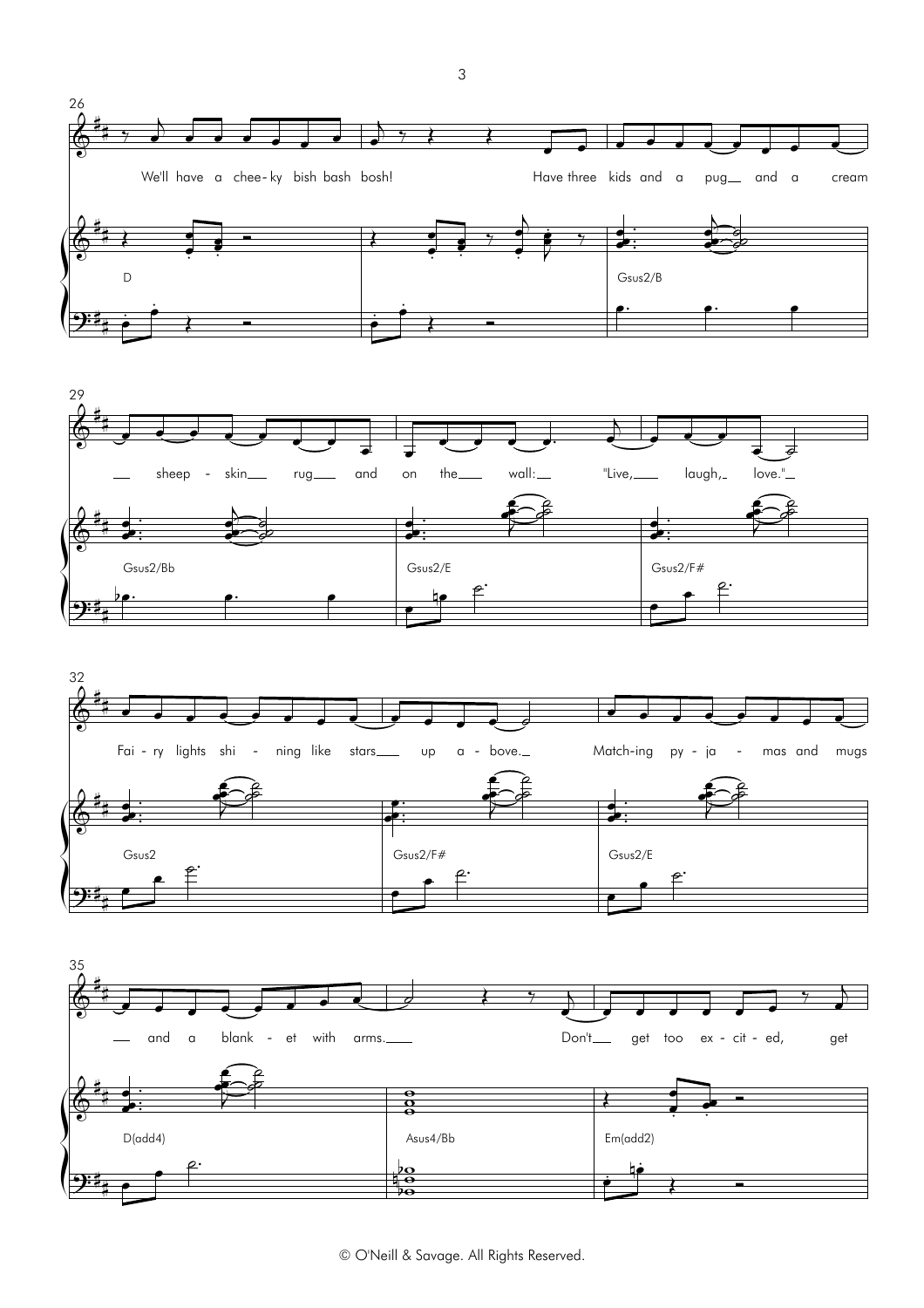